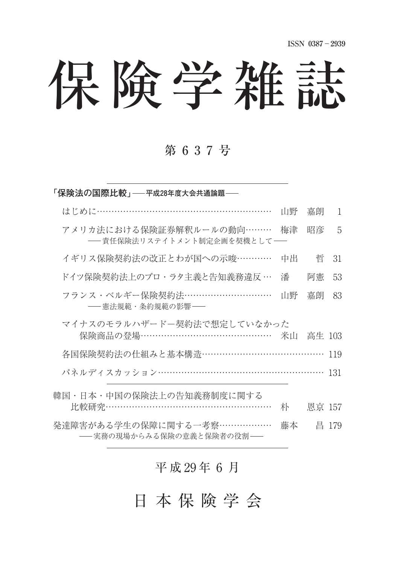# 保険学雑誌

## 第 6 3 7 号

| 「保険法の国際比較」――平成28年度大会共通論題――                                     |    |        |       |
|----------------------------------------------------------------|----|--------|-------|
| はじめに…………………………………………………                                        | 山野 | 嘉朗     | 1     |
| アメリカ法における保険証券解釈ルールの動向………<br>- 責任保険法リステイトメント制定企画を契機として–         | 梅津 | 昭彦     | 5     |
| イギリス保険契約法の改正とわが国への示唆…………                                       | 中出 | 哲      | 31    |
| ドイツ保険契約法上のプロ・ラタ主義と告知義務違反 …                                     | 潘  | 阿憲     | 53    |
| フランス・ベルギー保険契約法…………………………<br>―― 憲法規範・条約規範の影響 ――                 | 山野 | 嘉朗     | 83    |
| マイナスのモラルハザードー契約法で想定していなかった<br>保険商品の登場……………………………………… 米山 高生 103 |    |        |       |
| 各国保険契約法の仕組みと基本構造…………………………………                                  |    |        | 119   |
| パネルディスカッション…………………………………………………                                 |    |        | 131   |
| 韓国・日本・中国の保険法上の告知義務制度に関する<br>比較研究…………………………………………………            | 朴  | 恩京 157 |       |
| 発達障害がある学生の保障に関する一考察………………<br>――実務の現場からみる保険の意義と保険者の役割――         | 藤本 |        | 昌 179 |

## 平成 29年6月

日 本 保 険 学 会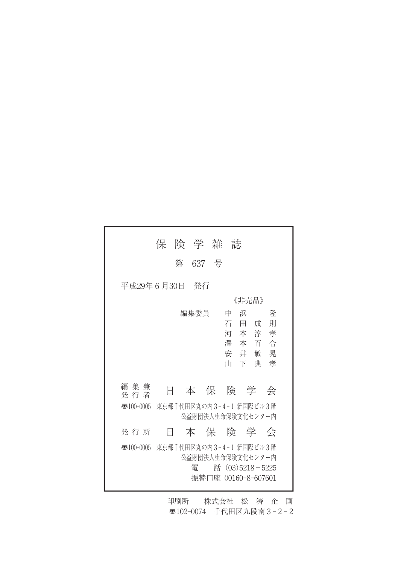|                        | 保 険 学 雑 誌  |                                              |   |
|------------------------|------------|----------------------------------------------|---|
|                        | 637 号<br>第 |                                              |   |
| 平成29年 6 月30日           | - 発行       |                                              |   |
|                        |            | 《非売品》                                        |   |
|                        | 編集委員       | 浜<br>中                                       | 降 |
|                        |            | 石田成                                          | 則 |
|                        |            | 河本淳孝                                         |   |
|                        |            | 澤本百合                                         |   |
|                        |            | 安井敏晃                                         |   |
|                        |            | Ш<br>下典                                      | 孝 |
|                        |            |                                              |   |
| 集 兼<br>編<br>Ħ<br>発 行 者 |            | 本保険学会                                        |   |
| $\overline{3}100-0005$ |            | 東京都千代田区丸の内3-4-1 新国際ビル3階                      |   |
|                        |            | 公益財団法人生命保険文化センター内                            |   |
| 発 行 所<br>Ħ             |            | 本保険学会                                        |   |
| $\overline{3}100-0005$ |            | 東京都千代田区丸の内3-4-1 新国際ビル3階<br>公益財団法人生命保険文化センター内 |   |
|                        | 雷          | 話 $(03)5218 - 5225$                          |   |
|                        |            | 振替口座 00160-8-607601                          |   |
|                        |            |                                              |   |

印刷所 株式会社 松 涛 企 画 〠102-0074 千代田区九段南 3 - 2 - 2